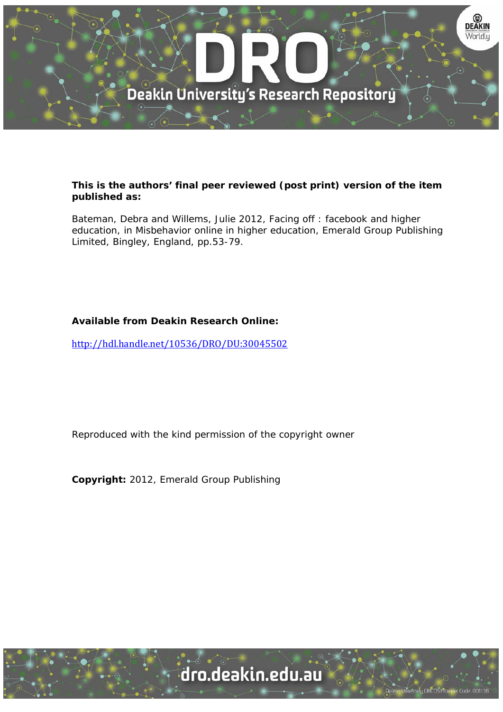

# **This is the authors' final peer reviewed (post print) version of the item published as:**

Bateman, Debra and Willems, Julie 2012, Facing off : facebook and higher education, in Misbehavior online in higher education, Emerald Group Publishing Limited, Bingley, England, pp.53-79.

# **Available from Deakin Research Online:**

http://hdl.handle.net/10536/DRO/DU:30045502

Reproduced with the kind permission of the copyright owner

**Copyright:** 2012, Emerald Group Publishing

University CRICOS Provider Code: 00113B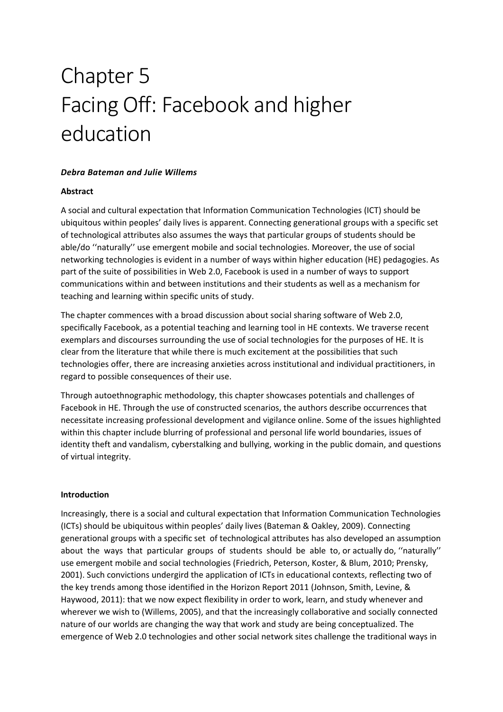# Chapter 5 Facing Off: Facebook and higher education

# *Debra Bateman and Julie Willems*

# **Abstract**

A social and cultural expectation that Information Communication Technologies (ICT) should be ubiquitous within peoples' daily lives is apparent. Connecting generational groups with a specific set of technological attributes also assumes the ways that particular groups of students should be able/do ''naturally'' use emergent mobile and social technologies. Moreover, the use of social networking technologies is evident in a number of ways within higher education (HE) pedagogies. As part of the suite of possibilities in Web 2.0, Facebook is used in a number of ways to support communications within and between institutions and their students as well as a mechanism for teaching and learning within specific units of study.

The chapter commences with a broad discussion about social sharing software of Web 2.0, specifically Facebook, as a potential teaching and learning tool in HE contexts. We traverse recent exemplars and discourses surrounding the use of social technologies for the purposes of HE. It is clear from the literature that while there is much excitement at the possibilities that such technologies offer, there are increasing anxieties across institutional and individual practitioners, in regard to possible consequences of their use.

Through autoethnographic methodology, this chapter showcases potentials and challenges of Facebook in HE. Through the use of constructed scenarios, the authors describe occurrences that necessitate increasing professional development and vigilance online. Some of the issues highlighted within this chapter include blurring of professional and personal life world boundaries, issues of identity theft and vandalism, cyberstalking and bullying, working in the public domain, and questions of virtual integrity.

## **Introduction**

Increasingly, there is a social and cultural expectation that Information Communication Technologies (ICTs) should be ubiquitous within peoples' daily lives (Bateman & Oakley, 2009). Connecting generational groups with a specific set of technological attributes has also developed an assumption about the ways that particular groups of students should be able to, or actually do, ''naturally'' use emergent mobile and social technologies (Friedrich, Peterson, Koster, & Blum, 2010; Prensky, 2001). Such convictions undergird the application of ICTs in educational contexts, reflecting two of the key trends among those identified in the Horizon Report 2011 (Johnson, Smith, Levine, & Haywood, 2011): that we now expect flexibility in order to work, learn, and study whenever and wherever we wish to (Willems, 2005), and that the increasingly collaborative and socially connected nature of our worlds are changing the way that work and study are being conceptualized. The emergence of Web 2.0 technologies and other social network sites challenge the traditional ways in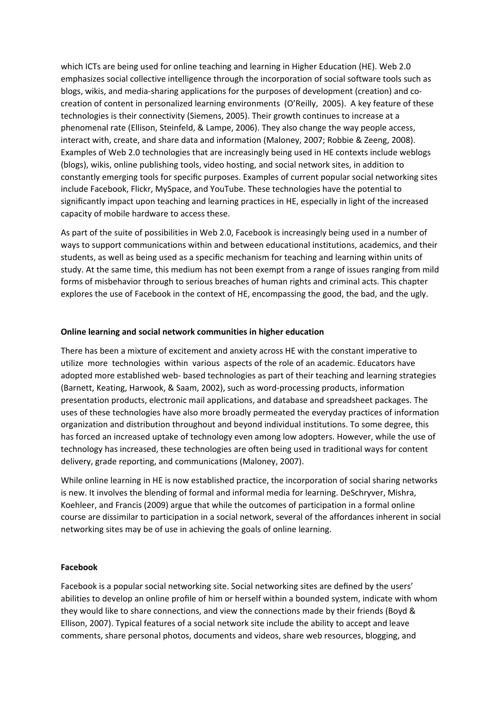which ICTs are being used for online teaching and learning in Higher Education (HE). Web 2.0 emphasizes social collective intelligence through the incorporation of social software tools such as blogs, wikis, and media-sharing applications for the purposes of development (creation) and cocreation of content in personalized learning environments (O'Reilly, 2005). A key feature of these technologies is their connectivity (Siemens, 2005). Their growth continues to increase at a phenomenal rate (Ellison, Steinfeld, & Lampe, 2006). They also change the way people access, interact with, create, and share data and information (Maloney, 2007; Robbie & Zeeng, 2008). Examples of Web 2.0 technologies that are increasingly being used in HE contexts include weblogs (blogs), wikis, online publishing tools, video hosting, and social network sites, in addition to constantly emerging tools for specific purposes. Examples of current popular social networking sites include Facebook, Flickr, MySpace, and YouTube. These technologies have the potential to significantly impact upon teaching and learning practices in HE, especially in light of the increased capacity of mobile hardware to access these.

As part of the suite of possibilities in Web 2.0, Facebook is increasingly being used in a number of ways to support communications within and between educational institutions, academics, and their students, as well as being used as a specific mechanism for teaching and learning within units of study. At the same time, this medium has not been exempt from a range of issues ranging from mild forms of misbehavior through to serious breaches of human rights and criminal acts. This chapter explores the use of Facebook in the context of HE, encompassing the good, the bad, and the ugly.

#### **Online learning and social network communities in higher education**

There has been a mixture of excitement and anxiety across HE with the constant imperative to utilize more technologies within various aspects of the role of an academic. Educators have adopted more established web- based technologies as part of their teaching and learning strategies (Barnett, Keating, Harwook, & Saam, 2002), such as word‐processing products, information presentation products, electronic mail applications, and database and spreadsheet packages. The uses of these technologies have also more broadly permeated the everyday practices of information organization and distribution throughout and beyond individual institutions. To some degree, this has forced an increased uptake of technology even among low adopters. However, while the use of technology has increased, these technologies are often being used in traditional ways for content delivery, grade reporting, and communications (Maloney, 2007).

While online learning in HE is now established practice, the incorporation of social sharing networks is new. It involves the blending of formal and informal media for learning. DeSchryver, Mishra, Koehleer, and Francis (2009) argue that while the outcomes of participation in a formal online course are dissimilar to participation in a social network, several of the affordances inherent in social networking sites may be of use in achieving the goals of online learning.

#### **Facebook**

Facebook is a popular social networking site. Social networking sites are defined by the users' abilities to develop an online profile of him or herself within a bounded system, indicate with whom they would like to share connections, and view the connections made by their friends (Boyd & Ellison, 2007). Typical features of a social network site include the ability to accept and leave comments, share personal photos, documents and videos, share web resources, blogging, and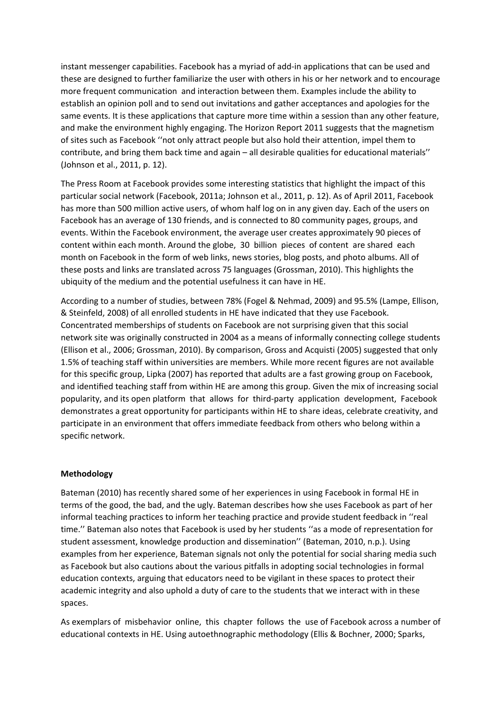instant messenger capabilities. Facebook has a myriad of add‐in applications that can be used and these are designed to further familiarize the user with others in his or her network and to encourage more frequent communication and interaction between them. Examples include the ability to establish an opinion poll and to send out invitations and gather acceptances and apologies for the same events. It is these applications that capture more time within a session than any other feature, and make the environment highly engaging. The Horizon Report 2011 suggests that the magnetism of sites such as Facebook ''not only attract people but also hold their attention, impel them to contribute, and bring them back time and again – all desirable qualities for educational materials'' (Johnson et al., 2011, p. 12).

The Press Room at Facebook provides some interesting statistics that highlight the impact of this particular social network (Facebook, 2011a; Johnson et al., 2011, p. 12). As of April 2011, Facebook has more than 500 million active users, of whom half log on in any given day. Each of the users on Facebook has an average of 130 friends, and is connected to 80 community pages, groups, and events. Within the Facebook environment, the average user creates approximately 90 pieces of content within each month. Around the globe, 30 billion pieces of content are shared each month on Facebook in the form of web links, news stories, blog posts, and photo albums. All of these posts and links are translated across 75 languages (Grossman, 2010). This highlights the ubiquity of the medium and the potential usefulness it can have in HE.

According to a number of studies, between 78% (Fogel & Nehmad, 2009) and 95.5% (Lampe, Ellison, & Steinfeld, 2008) of all enrolled students in HE have indicated that they use Facebook. Concentrated memberships of students on Facebook are not surprising given that this social network site was originally constructed in 2004 as a means of informally connecting college students (Ellison et al., 2006; Grossman, 2010). By comparison, Gross and Acquisti (2005) suggested that only 1.5% of teaching staff within universities are members. While more recent figures are not available for this specific group, Lipka (2007) has reported that adults are a fast growing group on Facebook, and identified teaching staff from within HE are among this group. Given the mix of increasing social popularity, and its open platform that allows for third‐party application development, Facebook demonstrates a great opportunity for participants within HE to share ideas, celebrate creativity, and participate in an environment that offers immediate feedback from others who belong within a specific network.

## **Methodology**

Bateman (2010) has recently shared some of her experiences in using Facebook in formal HE in terms of the good, the bad, and the ugly. Bateman describes how she uses Facebook as part of her informal teaching practices to inform her teaching practice and provide student feedback in ''real time.'' Bateman also notes that Facebook is used by her students ''as a mode of representation for student assessment, knowledge production and dissemination'' (Bateman, 2010, n.p.). Using examples from her experience, Bateman signals not only the potential for social sharing media such as Facebook but also cautions about the various pitfalls in adopting social technologies in formal education contexts, arguing that educators need to be vigilant in these spaces to protect their academic integrity and also uphold a duty of care to the students that we interact with in these spaces.

As exemplars of misbehavior online, this chapter follows the use of Facebook across a number of educational contexts in HE. Using autoethnographic methodology (Ellis & Bochner, 2000; Sparks,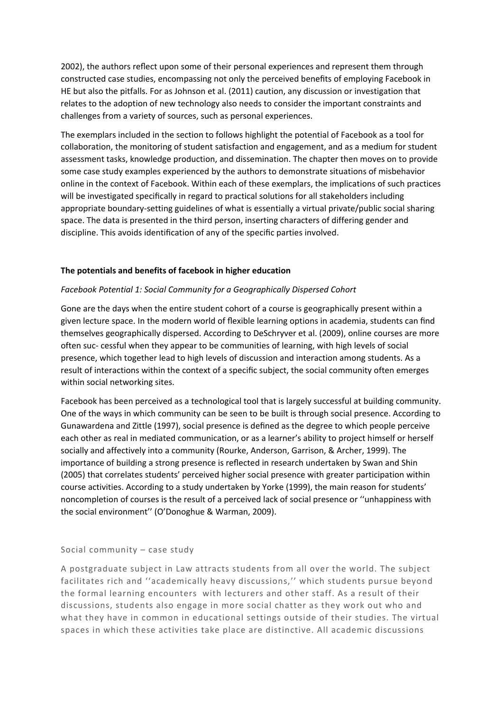2002), the authors reflect upon some of their personal experiences and represent them through constructed case studies, encompassing not only the perceived benefits of employing Facebook in HE but also the pitfalls. For as Johnson et al. (2011) caution, any discussion or investigation that relates to the adoption of new technology also needs to consider the important constraints and challenges from a variety of sources, such as personal experiences.

The exemplars included in the section to follows highlight the potential of Facebook as a tool for collaboration, the monitoring of student satisfaction and engagement, and as a medium for student assessment tasks, knowledge production, and dissemination. The chapter then moves on to provide some case study examples experienced by the authors to demonstrate situations of misbehavior online in the context of Facebook. Within each of these exemplars, the implications of such practices will be investigated specifically in regard to practical solutions for all stakeholders including appropriate boundary-setting guidelines of what is essentially a virtual private/public social sharing space. The data is presented in the third person, inserting characters of differing gender and discipline. This avoids identification of any of the specific parties involved.

## **The potentials and benefits of facebook in higher education**

#### *Facebook Potential 1: Social Community for a Geographically Dispersed Cohort*

Gone are the days when the entire student cohort of a course is geographically present within a given lecture space. In the modern world of flexible learning options in academia, students can find themselves geographically dispersed. According to DeSchryver et al. (2009), online courses are more often suc‐ cessful when they appear to be communities of learning, with high levels of social presence, which together lead to high levels of discussion and interaction among students. As a result of interactions within the context of a specific subject, the social community often emerges within social networking sites.

Facebook has been perceived as a technological tool that is largely successful at building community. One of the ways in which community can be seen to be built is through social presence. According to Gunawardena and Zittle (1997), social presence is defined as the degree to which people perceive each other as real in mediated communication, or as a learner's ability to project himself or herself socially and affectively into a community (Rourke, Anderson, Garrison, & Archer, 1999). The importance of building a strong presence is reflected in research undertaken by Swan and Shin (2005) that correlates students' perceived higher social presence with greater participation within course activities. According to a study undertaken by Yorke (1999), the main reason for students' noncompletion of courses is the result of a perceived lack of social presence or ''unhappiness with the social environment'' (O'Donoghue & Warman, 2009).

#### Social community – case study

A postgraduate subject in Law attracts students from all over the world. The subject facilitates rich and ''academically heavy discussions,'' which students pursue beyond the formal learning encounters with lecturers and other staff. As a result of their discussions, students also engage in more social chatter as they work out who and what they have in common in educational settings outside of their studies. The virtual spaces in which these activities take place are distinctive. All academic discussions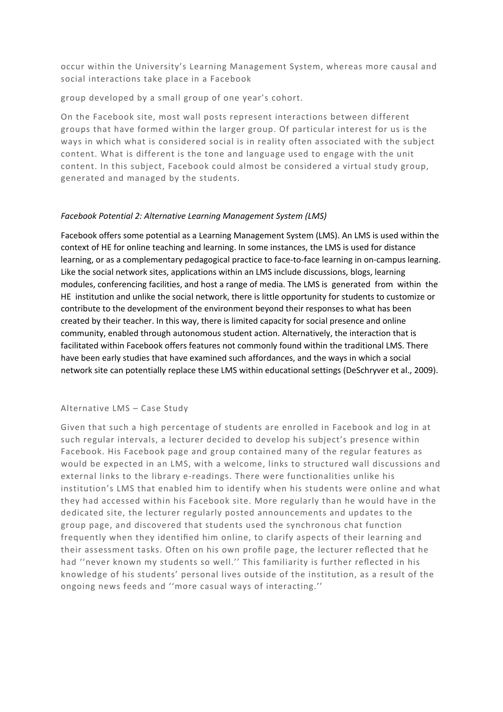occur within the University's Learning Management System, whereas more causal and social interactions take place in a Facebook

group developed by a small group of one year's cohort.

On the Facebook site, most wall posts represent interactions between different groups that have formed within the larger group. Of particular interest for us is the ways in which what is considered social is in reality often associated with the subject content. What is different is the tone and language used to engage with the unit content. In this subject, Facebook could almost be considered a virtual study group, generated and managed by the students.

# *Facebook Potential 2: Alternative Learning Management System (LMS)*

Facebook offers some potential as a Learning Management System (LMS). An LMS is used within the context of HE for online teaching and learning. In some instances, the LMS is used for distance learning, or as a complementary pedagogical practice to face-to-face learning in on-campus learning. Like the social network sites, applications within an LMS include discussions, blogs, learning modules, conferencing facilities, and host a range of media. The LMS is generated from within the HE institution and unlike the social network, there is little opportunity for students to customize or contribute to the development of the environment beyond their responses to what has been created by their teacher. In this way, there is limited capacity for social presence and online community, enabled through autonomous student action. Alternatively, the interaction that is facilitated within Facebook offers features not commonly found within the traditional LMS. There have been early studies that have examined such affordances, and the ways in which a social network site can potentially replace these LMS within educational settings (DeSchryver et al., 2009).

## Alternative LMS – Case Study

Given that such a high percentage of students are enrolled in Facebook and log in at such regular intervals, a lecturer decided to develop his subject's presence within Facebook. His Facebook page and group contained many of the regular features as would be expected in an LMS, with a welcome, links to structured wall discussions and external links to the library e-readings. There were functionalities unlike his institution's LMS that enabled him to identify when his students were online and what they had accessed within his Facebook site. More regularly than he would have in the dedicated site, the lecturer regularly posted announcements and updates to the group page, and discovered that students used the synchronous chat function frequently when they identified him online, to clarify aspects of their learning and their assessment tasks. Often on his own profile page, the lecturer reflected that he had ''never known my students so well.'' This familiarity is further reflected in his knowledge of his students' personal lives outside of the institution, as a result of the ongoing news feeds and ''more casual ways of interacting.''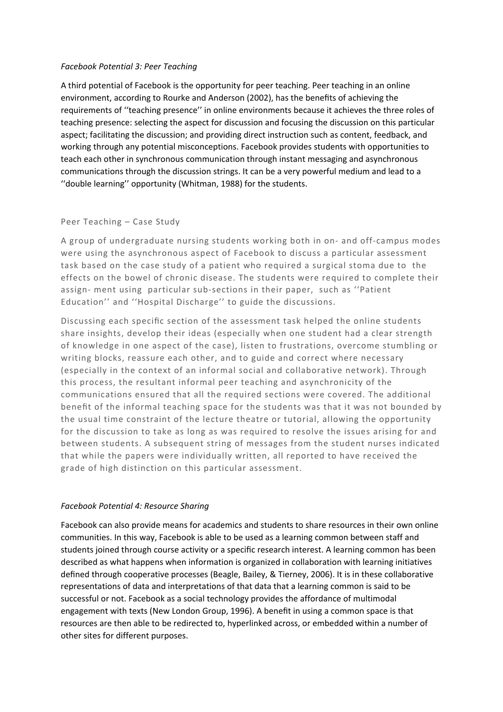## *Facebook Potential 3: Peer Teaching*

A third potential of Facebook is the opportunity for peer teaching. Peer teaching in an online environment, according to Rourke and Anderson (2002), has the benefits of achieving the requirements of ''teaching presence'' in online environments because it achieves the three roles of teaching presence: selecting the aspect for discussion and focusing the discussion on this particular aspect; facilitating the discussion; and providing direct instruction such as content, feedback, and working through any potential misconceptions. Facebook provides students with opportunities to teach each other in synchronous communication through instant messaging and asynchronous communications through the discussion strings. It can be a very powerful medium and lead to a ''double learning'' opportunity (Whitman, 1988) for the students.

## Peer Teaching – Case Study

A group of undergraduate nursing students working both in on‐ and off‐campus modes were using the asynchronous aspect of Facebook to discuss a particular assessment task based on the case study of a patient who required a surgical stoma due to the effects on the bowel of chronic disease. The students were required to complete their assign‐ ment using particular sub‐sections in their paper, such as ''Patient Education'' and ''Hospital Discharge'' to guide the discussions.

Discussing each specific section of the assessment task helped the online students share insights, develop their ideas (especially when one student had a clear strength of knowledge in one aspect of the case), listen to frustrations, overcome stumbling or writing blocks, reassure each other, and to guide and correct where necessary (especially in the context of an informal social and collaborative network). Through this process, the resultant informal peer teaching and asynchronicity of the communications ensured that all the required sections were covered. The additional benefit of the informal teaching space for the students was that it was not bounded by the usual time constraint of the lecture theatre or tutorial, allowing the opportunity for the discussion to take as long as was required to resolve the issues arising for and between students. A subsequent string of messages from the student nurses indicated that while the papers were individually written, all reported to have received the grade of high distinction on this particular assessment.

## *Facebook Potential 4: Resource Sharing*

Facebook can also provide means for academics and students to share resources in their own online communities. In this way, Facebook is able to be used as a learning common between staff and students joined through course activity or a specific research interest. A learning common has been described as what happens when information is organized in collaboration with learning initiatives defined through cooperative processes (Beagle, Bailey, & Tierney, 2006). It is in these collaborative representations of data and interpretations of that data that a learning common is said to be successful or not. Facebook as a social technology provides the affordance of multimodal engagement with texts (New London Group, 1996). A benefit in using a common space is that resources are then able to be redirected to, hyperlinked across, or embedded within a number of other sites for different purposes.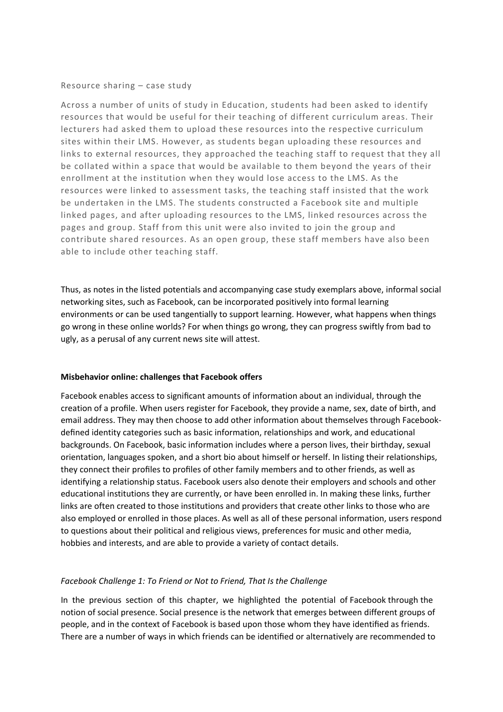#### Resource sharing – case study

Across a number of units of study in Education, students had been asked to identify resources that would be useful for their teaching of different curriculum areas. Their lecturers had asked them to upload these resources into the respective curriculum sites within their LMS. However, as students began uploading these resources and links to external resources, they approached the teaching staff to request that they all be collated within a space that would be available to them beyond the years of their enrollment at the institution when they would lose access to the LMS. As the resources were linked to assessment tasks, the teaching staff insisted that the work be undertaken in the LMS. The students constructed a Facebook site and multiple linked pages, and after uploading resources to the LMS, linked resources across the pages and group. Staff from this unit were also invited to join the group and contribute shared resources. As an open group, these staff members have also been able to include other teaching staff.

Thus, as notes in the listed potentials and accompanying case study exemplars above, informal social networking sites, such as Facebook, can be incorporated positively into formal learning environments or can be used tangentially to support learning. However, what happens when things go wrong in these online worlds? For when things go wrong, they can progress swiftly from bad to ugly, as a perusal of any current news site will attest.

#### **Misbehavior online: challenges that Facebook offers**

Facebook enables access to significant amounts of information about an individual, through the creation of a profile. When users register for Facebook, they provide a name, sex, date of birth, and email address. They may then choose to add other information about themselves through Facebook‐ defined identity categories such as basic information, relationships and work, and educational backgrounds. On Facebook, basic information includes where a person lives, their birthday, sexual orientation, languages spoken, and a short bio about himself or herself. In listing their relationships, they connect their profiles to profiles of other family members and to other friends, as well as identifying a relationship status. Facebook users also denote their employers and schools and other educational institutions they are currently, or have been enrolled in. In making these links, further links are often created to those institutions and providers that create other links to those who are also employed or enrolled in those places. As well as all of these personal information, users respond to questions about their political and religious views, preferences for music and other media, hobbies and interests, and are able to provide a variety of contact details.

## *Facebook Challenge 1: To Friend or Not to Friend, That Is the Challenge*

In the previous section of this chapter, we highlighted the potential of Facebook through the notion of social presence. Social presence is the network that emerges between different groups of people, and in the context of Facebook is based upon those whom they have identified as friends. There are a number of ways in which friends can be identified or alternatively are recommended to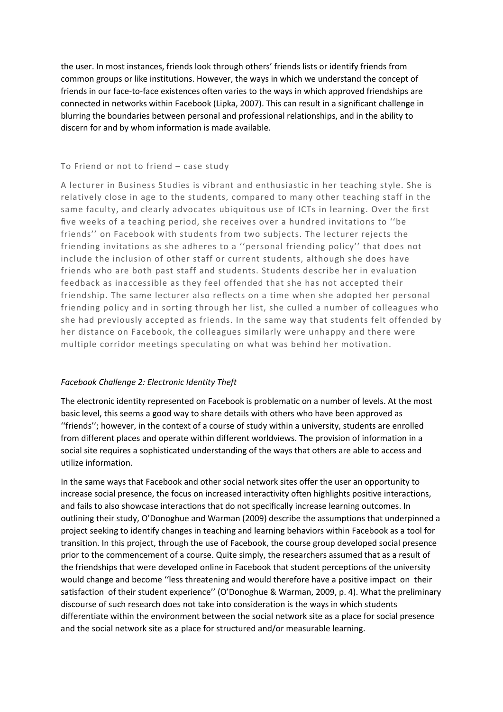the user. In most instances, friends look through others' friends lists or identify friends from common groups or like institutions. However, the ways in which we understand the concept of friends in our face-to-face existences often varies to the ways in which approved friendships are connected in networks within Facebook (Lipka, 2007). This can result in a significant challenge in blurring the boundaries between personal and professional relationships, and in the ability to discern for and by whom information is made available.

# To Friend or not to friend – case study

A lecturer in Business Studies is vibrant and enthusiastic in her teaching style. She is relatively close in age to the students, compared to many other teaching staff in the same faculty, and clearly advocates ubiquitous use of ICTs in learning. Over the first five weeks of a teaching period, she receives over a hundred invitations to ''be friends'' on Facebook with students from two subjects. The lecturer rejects the friending invitations as she adheres to a ''personal friending policy'' that does not include the inclusion of other staff or current students, although she does have friends who are both past staff and students. Students describe her in evaluation feedback as inaccessible as they feel offended that she has not accepted their friendship. The same lecturer also reflects on a time when she adopted her personal friending policy and in sorting through her list, she culled a number of colleagues who she had previously accepted as friends. In the same way that students felt offended by her distance on Facebook, the colleagues similarly were unhappy and there were multiple corridor meetings speculating on what was behind her motivation.

# *Facebook Challenge 2: Electronic Identity Theft*

The electronic identity represented on Facebook is problematic on a number of levels. At the most basic level, this seems a good way to share details with others who have been approved as ''friends''; however, in the context of a course of study within a university, students are enrolled from different places and operate within different worldviews. The provision of information in a social site requires a sophisticated understanding of the ways that others are able to access and utilize information.

In the same ways that Facebook and other social network sites offer the user an opportunity to increase social presence, the focus on increased interactivity often highlights positive interactions, and fails to also showcase interactions that do not specifically increase learning outcomes. In outlining their study, O'Donoghue and Warman (2009) describe the assumptions that underpinned a project seeking to identify changes in teaching and learning behaviors within Facebook as a tool for transition. In this project, through the use of Facebook, the course group developed social presence prior to the commencement of a course. Quite simply, the researchers assumed that as a result of the friendships that were developed online in Facebook that student perceptions of the university would change and become ''less threatening and would therefore have a positive impact on their satisfaction of their student experience'' (O'Donoghue & Warman, 2009, p. 4). What the preliminary discourse of such research does not take into consideration is the ways in which students differentiate within the environment between the social network site as a place for social presence and the social network site as a place for structured and/or measurable learning.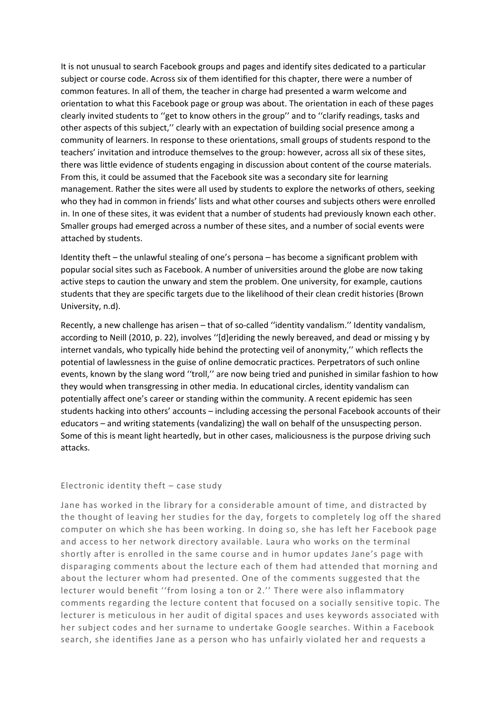It is not unusual to search Facebook groups and pages and identify sites dedicated to a particular subject or course code. Across six of them identified for this chapter, there were a number of common features. In all of them, the teacher in charge had presented a warm welcome and orientation to what this Facebook page or group was about. The orientation in each of these pages clearly invited students to ''get to know others in the group'' and to ''clarify readings, tasks and other aspects of this subject,'' clearly with an expectation of building social presence among a community of learners. In response to these orientations, small groups of students respond to the teachers' invitation and introduce themselves to the group: however, across all six of these sites, there was little evidence of students engaging in discussion about content of the course materials. From this, it could be assumed that the Facebook site was a secondary site for learning management. Rather the sites were all used by students to explore the networks of others, seeking who they had in common in friends' lists and what other courses and subjects others were enrolled in. In one of these sites, it was evident that a number of students had previously known each other. Smaller groups had emerged across a number of these sites, and a number of social events were attached by students.

Identity theft – the unlawful stealing of one's persona – has become a significant problem with popular social sites such as Facebook. A number of universities around the globe are now taking active steps to caution the unwary and stem the problem. One university, for example, cautions students that they are specific targets due to the likelihood of their clean credit histories (Brown University, n.d).

Recently, a new challenge has arisen – that of so-called "identity vandalism." Identity vandalism, according to Neill (2010, p. 22), involves ''[d]eriding the newly bereaved, and dead or missing y by internet vandals, who typically hide behind the protecting veil of anonymity,'' which reflects the potential of lawlessness in the guise of online democratic practices. Perpetrators of such online events, known by the slang word ''troll,'' are now being tried and punished in similar fashion to how they would when transgressing in other media. In educational circles, identity vandalism can potentially affect one's career or standing within the community. A recent epidemic has seen students hacking into others' accounts – including accessing the personal Facebook accounts of their educators – and writing statements (vandalizing) the wall on behalf of the unsuspecting person. Some of this is meant light heartedly, but in other cases, maliciousness is the purpose driving such attacks.

## Electronic identity theft – case study

Jane has worked in the library for a considerable amount of time, and distracted by the thought of leaving her studies for the day, forgets to completely log off the shared computer on which she has been working. In doing so, she has left her Facebook page and access to her network directory available. Laura who works on the terminal shortly after is enrolled in the same course and in humor updates Jane's page with disparaging comments about the lecture each of them had attended that morning and about the lecturer whom had presented. One of the comments suggested that the lecturer would benefit ''from losing a ton or 2.'' There were also inflammatory comments regarding the lecture content that focused on a socially sensitive topic. The lecturer is meticulous in her audit of digital spaces and uses keywords associated with her subject codes and her surname to undertake Google searches. Within a Facebook search, she identifies Jane as a person who has unfairly violated her and requests a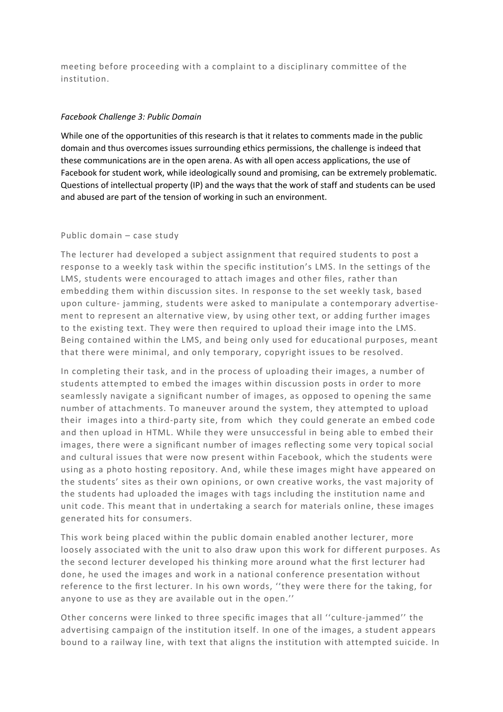meeting before proceeding with a complaint to a disciplinary committee of the institution.

## *Facebook Challenge 3: Public Domain*

While one of the opportunities of this research is that it relates to comments made in the public domain and thus overcomes issues surrounding ethics permissions, the challenge is indeed that these communications are in the open arena. As with all open access applications, the use of Facebook for student work, while ideologically sound and promising, can be extremely problematic. Questions of intellectual property (IP) and the ways that the work of staff and students can be used and abused are part of the tension of working in such an environment.

#### Public domain – case study

The lecturer had developed a subject assignment that required students to post a response to a weekly task within the specific institution's LMS. In the settings of the LMS, students were encouraged to attach images and other files, rather than embedding them within discussion sites. In response to the set weekly task, based upon culture‐ jamming, students were asked to manipulate a contemporary advertise‐ ment to represent an alternative view, by using other text, or adding further images to the existing text. They were then required to upload their image into the LMS. Being contained within the LMS, and being only used for educational purposes, meant that there were minimal, and only temporary, copyright issues to be resolved.

In completing their task, and in the process of uploading their images, a number of students attempted to embed the images within discussion posts in order to more seamlessly navigate a significant number of images, as opposed to opening the same number of attachments. To maneuver around the system, they attempted to upload their images into a third‐party site, from which they could generate an embed code and then upload in HTML. While they were unsuccessful in being able to embed their images, there were a significant number of images reflecting some very topical social and cultural issues that were now present within Facebook, which the students were using as a photo hosting repository. And, while these images might have appeared on the students' sites as their own opinions, or own creative works, the vast majority of the students had uploaded the images with tags including the institution name and unit code. This meant that in undertaking a search for materials online, these images generated hits for consumers.

This work being placed within the public domain enabled another lecturer, more loosely associated with the unit to also draw upon this work for different purposes. As the second lecturer developed his thinking more around what the first lecturer had done, he used the images and work in a national conference presentation without reference to the first lecturer. In his own words, ''they were there for the taking, for anyone to use as they are available out in the open.''

Other concerns were linked to three specific images that all ''culture‐jammed'' the advertising campaign of the institution itself. In one of the images, a student appears bound to a railway line, with text that aligns the institution with attempted suicide. In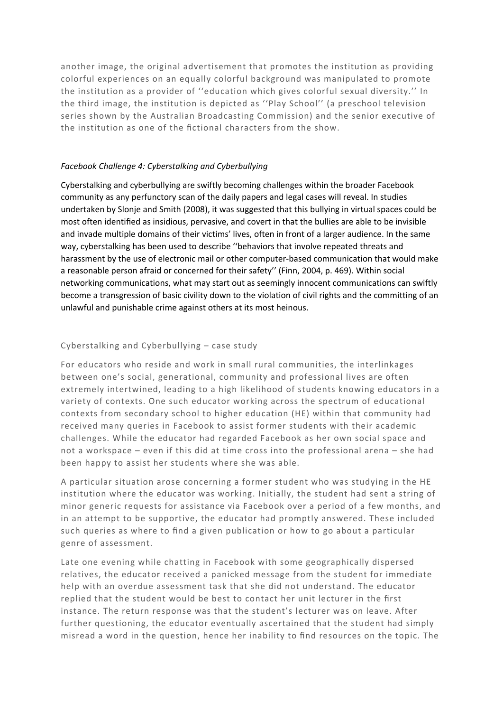another image, the original advertisement that promotes the institution as providing colorful experiences on an equally colorful background was manipulated to promote the institution as a provider of ''education which gives colorful sexual diversity.'' In the third image, the institution is depicted as ''Play School'' (a preschool television series shown by the Australian Broadcasting Commission) and the senior executive of the institution as one of the fictional characters from the show.

# *Facebook Challenge 4: Cyberstalking and Cyberbullying*

Cyberstalking and cyberbullying are swiftly becoming challenges within the broader Facebook community as any perfunctory scan of the daily papers and legal cases will reveal. In studies undertaken by Slonje and Smith (2008), it was suggested that this bullying in virtual spaces could be most often identified as insidious, pervasive, and covert in that the bullies are able to be invisible and invade multiple domains of their victims' lives, often in front of a larger audience. In the same way, cyberstalking has been used to describe ''behaviors that involve repeated threats and harassment by the use of electronic mail or other computer-based communication that would make a reasonable person afraid or concerned for their safety'' (Finn, 2004, p. 469). Within social networking communications, what may start out as seemingly innocent communications can swiftly become a transgression of basic civility down to the violation of civil rights and the committing of an unlawful and punishable crime against others at its most heinous.

# Cyberstalking and Cyberbullying – case study

For educators who reside and work in small rural communities, the interlinkages between one's social, generational, community and professional lives are often extremely intertwined, leading to a high likelihood of students knowing educators in a variety of contexts. One such educator working across the spectrum of educational contexts from secondary school to higher education (HE) within that community had received many queries in Facebook to assist former students with their academic challenges. While the educator had regarded Facebook as her own social space and not a workspace – even if this did at time cross into the professional arena – she had been happy to assist her students where she was able.

A particular situation arose concerning a former student who was studying in the HE institution where the educator was working. Initially, the student had sent a string of minor generic requests for assistance via Facebook over a period of a few months, and in an attempt to be supportive, the educator had promptly answered. These included such queries as where to find a given publication or how to go about a particular genre of assessment.

Late one evening while chatting in Facebook with some geographically dispersed relatives, the educator received a panicked message from the student for immediate help with an overdue assessment task that she did not understand. The educator replied that the student would be best to contact her unit lecturer in the first instance. The return response was that the student's lecturer was on leave. After further questioning, the educator eventually ascertained that the student had simply misread a word in the question, hence her inability to find resources on the topic. The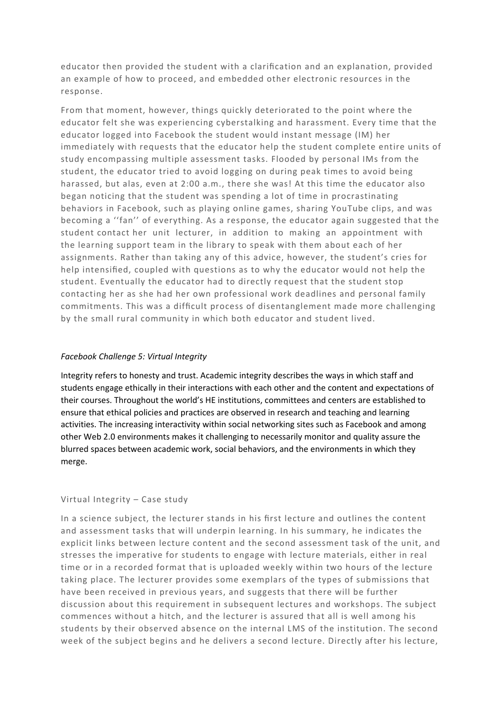educator then provided the student with a clarification and an explanation, provided an example of how to proceed, and embedded other electronic resources in the response.

From that moment, however, things quickly deteriorated to the point where the educator felt she was experiencing cyberstalking and harassment. Every time that the educator logged into Facebook the student would instant message (IM) her immediately with requests that the educator help the student complete entire units of study encompassing multiple assessment tasks. Flooded by personal IMs from the student, the educator tried to avoid logging on during peak times to avoid being harassed, but alas, even at 2:00 a.m., there she was! At this time the educator also began noticing that the student was spending a lot of time in procrastinating behaviors in Facebook, such as playing online games, sharing YouTube clips, and was becoming a ''fan'' of everything. As a response, the educator again suggested that the student contact her unit lecturer, in addition to making an appointment with the learning support team in the library to speak with them about each of her assignments. Rather than taking any of this advice, however, the student's cries for help intensified, coupled with questions as to why the educator would not help the student. Eventually the educator had to directly request that the student stop contacting her as she had her own professional work deadlines and personal family commitments. This was a difficult process of disentanglement made more challenging by the small rural community in which both educator and student lived.

# *Facebook Challenge 5: Virtual Integrity*

Integrity refers to honesty and trust. Academic integrity describes the ways in which staff and students engage ethically in their interactions with each other and the content and expectations of their courses. Throughout the world's HE institutions, committees and centers are established to ensure that ethical policies and practices are observed in research and teaching and learning activities. The increasing interactivity within social networking sites such as Facebook and among other Web 2.0 environments makes it challenging to necessarily monitor and quality assure the blurred spaces between academic work, social behaviors, and the environments in which they merge.

## Virtual Integrity – Case study

In a science subject, the lecturer stands in his first lecture and outlines the content and assessment tasks that will underpin learning. In his summary, he indicates the explicit links between lecture content and the second assessment task of the unit, and stresses the imperative for students to engage with lecture materials, either in real time or in a recorded format that is uploaded weekly within two hours of the lecture taking place. The lecturer provides some exemplars of the types of submissions that have been received in previous years, and suggests that there will be further discussion about this requirement in subsequent lectures and workshops. The subject commences without a hitch, and the lecturer is assured that all is well among his students by their observed absence on the internal LMS of the institution. The second week of the subject begins and he delivers a second lecture. Directly after his lecture,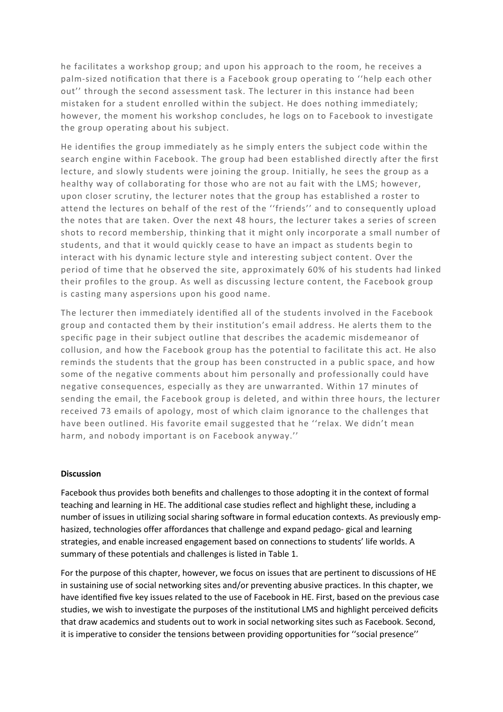he facilitates a workshop group; and upon his approach to the room, he receives a palm‐sized notification that there is a Facebook group operating to ''help each other out'' through the second assessment task. The lecturer in this instance had been mistaken for a student enrolled within the subject. He does nothing immediately; however, the moment his workshop concludes, he logs on to Facebook to investigate the group operating about his subject.

He identifies the group immediately as he simply enters the subject code within the search engine within Facebook. The group had been established directly after the first lecture, and slowly students were joining the group. Initially, he sees the group as a healthy way of collaborating for those who are not au fait with the LMS; however, upon closer scrutiny, the lecturer notes that the group has established a roster to attend the lectures on behalf of the rest of the ''friends'' and to consequently upload the notes that are taken. Over the next 48 hours, the lecturer takes a series of screen shots to record membership, thinking that it might only incorporate a small number of students, and that it would quickly cease to have an impact as students begin to interact with his dynamic lecture style and interesting subject content. Over the period of time that he observed the site, approximately 60% of his students had linked their profiles to the group. As well as discussing lecture content, the Facebook group is casting many aspersions upon his good name.

The lecturer then immediately identified all of the students involved in the Facebook group and contacted them by their institution's email address. He alerts them to the specific page in their subject outline that describes the academic misdemeanor of collusion, and how the Facebook group has the potential to facilitate this act. He also reminds the students that the group has been constructed in a public space, and how some of the negative comments about him personally and professionally could have negative consequences, especially as they are unwarranted. Within 17 minutes of sending the email, the Facebook group is deleted, and within three hours, the lecturer received 73 emails of apology, most of which claim ignorance to the challenges that have been outlined. His favorite email suggested that he ''relax. We didn't mean harm, and nobody important is on Facebook anyway.''

## **Discussion**

Facebook thus provides both benefits and challenges to those adopting it in the context of formal teaching and learning in HE. The additional case studies reflect and highlight these, including a number of issues in utilizing social sharing software in formal education contexts. As previously emp‐ hasized, technologies offer affordances that challenge and expand pedago‐ gical and learning strategies, and enable increased engagement based on connections to students' life worlds. A summary of these potentials and challenges is listed in Table 1.

For the purpose of this chapter, however, we focus on issues that are pertinent to discussions of HE in sustaining use of social networking sites and/or preventing abusive practices. In this chapter, we have identified five key issues related to the use of Facebook in HE. First, based on the previous case studies, we wish to investigate the purposes of the institutional LMS and highlight perceived deficits that draw academics and students out to work in social networking sites such as Facebook. Second, it is imperative to consider the tensions between providing opportunities for ''social presence''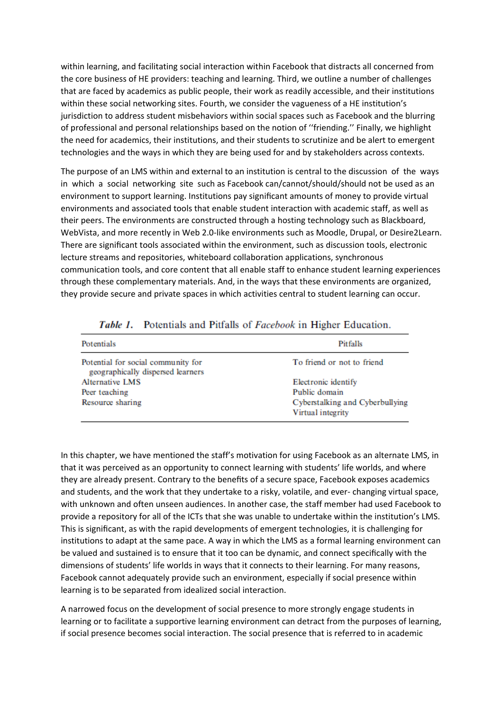within learning, and facilitating social interaction within Facebook that distracts all concerned from the core business of HE providers: teaching and learning. Third, we outline a number of challenges that are faced by academics as public people, their work as readily accessible, and their institutions within these social networking sites. Fourth, we consider the vagueness of a HE institution's jurisdiction to address student misbehaviors within social spaces such as Facebook and the blurring of professional and personal relationships based on the notion of ''friending.'' Finally, we highlight the need for academics, their institutions, and their students to scrutinize and be alert to emergent technologies and the ways in which they are being used for and by stakeholders across contexts.

The purpose of an LMS within and external to an institution is central to the discussion of the ways in which a social networking site such as Facebook can/cannot/should/should not be used as an environment to support learning. Institutions pay significant amounts of money to provide virtual environments and associated tools that enable student interaction with academic staff, as well as their peers. The environments are constructed through a hosting technology such as Blackboard, WebVista, and more recently in Web 2.0‐like environments such as Moodle, Drupal, or Desire2Learn. There are significant tools associated within the environment, such as discussion tools, electronic lecture streams and repositories, whiteboard collaboration applications, synchronous communication tools, and core content that all enable staff to enhance student learning experiences through these complementary materials. And, in the ways that these environments are organized, they provide secure and private spaces in which activities central to student learning can occur.

| Potentials                                                              | <b>Pitfalls</b>                                      |
|-------------------------------------------------------------------------|------------------------------------------------------|
| Potential for social community for<br>geographically dispersed learners | To friend or not to friend                           |
| <b>Alternative LMS</b>                                                  | Electronic identify                                  |
| Peer teaching                                                           | Public domain                                        |
| Resource sharing                                                        | Cyberstalking and Cyberbullying<br>Virtual integrity |

**Table 1.** Potentials and Pitfalls of Facebook in Higher Education.

In this chapter, we have mentioned the staff's motivation for using Facebook as an alternate LMS, in that it was perceived as an opportunity to connect learning with students' life worlds, and where they are already present. Contrary to the benefits of a secure space, Facebook exposes academics and students, and the work that they undertake to a risky, volatile, and ever-changing virtual space, with unknown and often unseen audiences. In another case, the staff member had used Facebook to provide a repository for all of the ICTs that she was unable to undertake within the institution's LMS. This is significant, as with the rapid developments of emergent technologies, it is challenging for institutions to adapt at the same pace. A way in which the LMS as a formal learning environment can be valued and sustained is to ensure that it too can be dynamic, and connect specifically with the dimensions of students' life worlds in ways that it connects to their learning. For many reasons, Facebook cannot adequately provide such an environment, especially if social presence within learning is to be separated from idealized social interaction.

A narrowed focus on the development of social presence to more strongly engage students in learning or to facilitate a supportive learning environment can detract from the purposes of learning, if social presence becomes social interaction. The social presence that is referred to in academic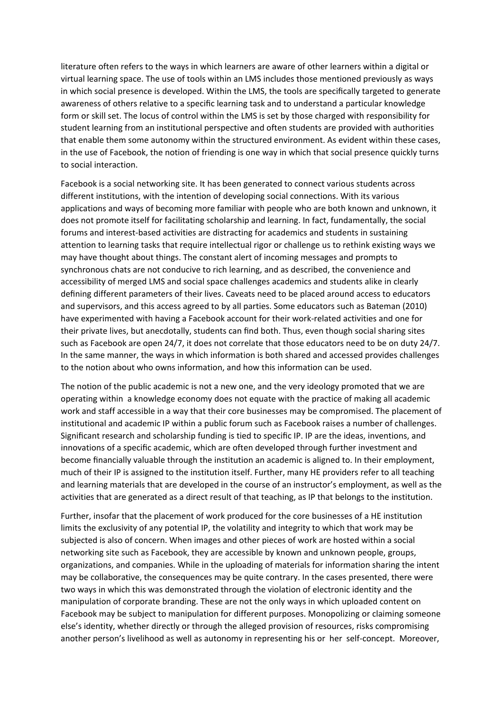literature often refers to the ways in which learners are aware of other learners within a digital or virtual learning space. The use of tools within an LMS includes those mentioned previously as ways in which social presence is developed. Within the LMS, the tools are specifically targeted to generate awareness of others relative to a specific learning task and to understand a particular knowledge form or skill set. The locus of control within the LMS is set by those charged with responsibility for student learning from an institutional perspective and often students are provided with authorities that enable them some autonomy within the structured environment. As evident within these cases, in the use of Facebook, the notion of friending is one way in which that social presence quickly turns to social interaction.

Facebook is a social networking site. It has been generated to connect various students across different institutions, with the intention of developing social connections. With its various applications and ways of becoming more familiar with people who are both known and unknown, it does not promote itself for facilitating scholarship and learning. In fact, fundamentally, the social forums and interest-based activities are distracting for academics and students in sustaining attention to learning tasks that require intellectual rigor or challenge us to rethink existing ways we may have thought about things. The constant alert of incoming messages and prompts to synchronous chats are not conducive to rich learning, and as described, the convenience and accessibility of merged LMS and social space challenges academics and students alike in clearly defining different parameters of their lives. Caveats need to be placed around access to educators and supervisors, and this access agreed to by all parties. Some educators such as Bateman (2010) have experimented with having a Facebook account for their work-related activities and one for their private lives, but anecdotally, students can find both. Thus, even though social sharing sites such as Facebook are open 24/7, it does not correlate that those educators need to be on duty 24/7. In the same manner, the ways in which information is both shared and accessed provides challenges to the notion about who owns information, and how this information can be used.

The notion of the public academic is not a new one, and the very ideology promoted that we are operating within a knowledge economy does not equate with the practice of making all academic work and staff accessible in a way that their core businesses may be compromised. The placement of institutional and academic IP within a public forum such as Facebook raises a number of challenges. Significant research and scholarship funding is tied to specific IP. IP are the ideas, inventions, and innovations of a specific academic, which are often developed through further investment and become financially valuable through the institution an academic is aligned to. In their employment, much of their IP is assigned to the institution itself. Further, many HE providers refer to all teaching and learning materials that are developed in the course of an instructor's employment, as well as the activities that are generated as a direct result of that teaching, as IP that belongs to the institution.

Further, insofar that the placement of work produced for the core businesses of a HE institution limits the exclusivity of any potential IP, the volatility and integrity to which that work may be subjected is also of concern. When images and other pieces of work are hosted within a social networking site such as Facebook, they are accessible by known and unknown people, groups, organizations, and companies. While in the uploading of materials for information sharing the intent may be collaborative, the consequences may be quite contrary. In the cases presented, there were two ways in which this was demonstrated through the violation of electronic identity and the manipulation of corporate branding. These are not the only ways in which uploaded content on Facebook may be subject to manipulation for different purposes. Monopolizing or claiming someone else's identity, whether directly or through the alleged provision of resources, risks compromising another person's livelihood as well as autonomy in representing his or her self‐concept. Moreover,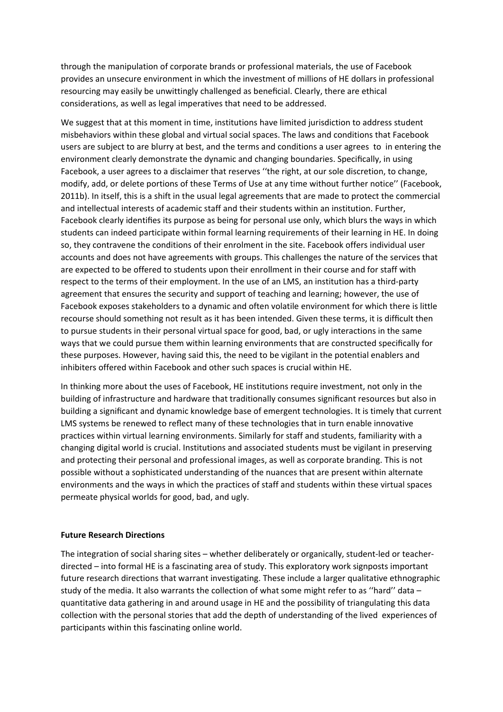through the manipulation of corporate brands or professional materials, the use of Facebook provides an unsecure environment in which the investment of millions of HE dollars in professional resourcing may easily be unwittingly challenged as beneficial. Clearly, there are ethical considerations, as well as legal imperatives that need to be addressed.

We suggest that at this moment in time, institutions have limited jurisdiction to address student misbehaviors within these global and virtual social spaces. The laws and conditions that Facebook users are subject to are blurry at best, and the terms and conditions a user agrees to in entering the environment clearly demonstrate the dynamic and changing boundaries. Specifically, in using Facebook, a user agrees to a disclaimer that reserves ''the right, at our sole discretion, to change, modify, add, or delete portions of these Terms of Use at any time without further notice'' (Facebook, 2011b). In itself, this is a shift in the usual legal agreements that are made to protect the commercial and intellectual interests of academic staff and their students within an institution. Further, Facebook clearly identifies its purpose as being for personal use only, which blurs the ways in which students can indeed participate within formal learning requirements of their learning in HE. In doing so, they contravene the conditions of their enrolment in the site. Facebook offers individual user accounts and does not have agreements with groups. This challenges the nature of the services that are expected to be offered to students upon their enrollment in their course and for staff with respect to the terms of their employment. In the use of an LMS, an institution has a third-party agreement that ensures the security and support of teaching and learning; however, the use of Facebook exposes stakeholders to a dynamic and often volatile environment for which there is little recourse should something not result as it has been intended. Given these terms, it is difficult then to pursue students in their personal virtual space for good, bad, or ugly interactions in the same ways that we could pursue them within learning environments that are constructed specifically for these purposes. However, having said this, the need to be vigilant in the potential enablers and inhibiters offered within Facebook and other such spaces is crucial within HE.

In thinking more about the uses of Facebook, HE institutions require investment, not only in the building of infrastructure and hardware that traditionally consumes significant resources but also in building a significant and dynamic knowledge base of emergent technologies. It is timely that current LMS systems be renewed to reflect many of these technologies that in turn enable innovative practices within virtual learning environments. Similarly for staff and students, familiarity with a changing digital world is crucial. Institutions and associated students must be vigilant in preserving and protecting their personal and professional images, as well as corporate branding. This is not possible without a sophisticated understanding of the nuances that are present within alternate environments and the ways in which the practices of staff and students within these virtual spaces permeate physical worlds for good, bad, and ugly.

## **Future Research Directions**

The integration of social sharing sites – whether deliberately or organically, student-led or teacherdirected – into formal HE is a fascinating area of study. This exploratory work signposts important future research directions that warrant investigating. These include a larger qualitative ethnographic study of the media. It also warrants the collection of what some might refer to as ''hard'' data – quantitative data gathering in and around usage in HE and the possibility of triangulating this data collection with the personal stories that add the depth of understanding of the lived experiences of participants within this fascinating online world.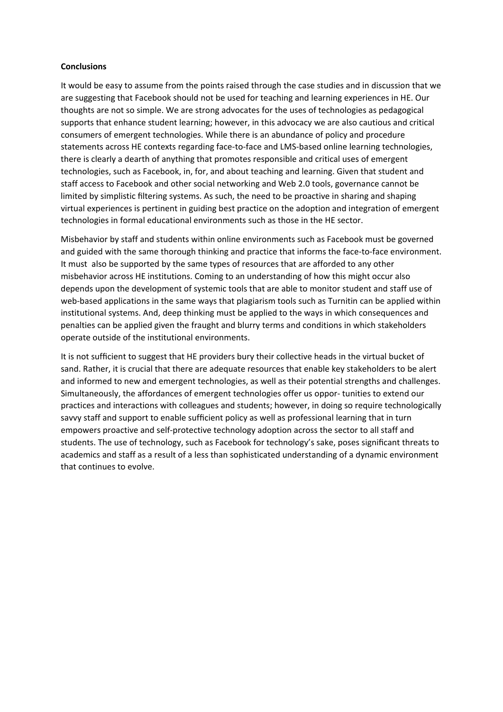#### **Conclusions**

It would be easy to assume from the points raised through the case studies and in discussion that we are suggesting that Facebook should not be used for teaching and learning experiences in HE. Our thoughts are not so simple. We are strong advocates for the uses of technologies as pedagogical supports that enhance student learning; however, in this advocacy we are also cautious and critical consumers of emergent technologies. While there is an abundance of policy and procedure statements across HE contexts regarding face‐to‐face and LMS‐based online learning technologies, there is clearly a dearth of anything that promotes responsible and critical uses of emergent technologies, such as Facebook, in, for, and about teaching and learning. Given that student and staff access to Facebook and other social networking and Web 2.0 tools, governance cannot be limited by simplistic filtering systems. As such, the need to be proactive in sharing and shaping virtual experiences is pertinent in guiding best practice on the adoption and integration of emergent technologies in formal educational environments such as those in the HE sector.

Misbehavior by staff and students within online environments such as Facebook must be governed and guided with the same thorough thinking and practice that informs the face-to-face environment. It must also be supported by the same types of resources that are afforded to any other misbehavior across HE institutions. Coming to an understanding of how this might occur also depends upon the development of systemic tools that are able to monitor student and staff use of web-based applications in the same ways that plagiarism tools such as Turnitin can be applied within institutional systems. And, deep thinking must be applied to the ways in which consequences and penalties can be applied given the fraught and blurry terms and conditions in which stakeholders operate outside of the institutional environments.

It is not sufficient to suggest that HE providers bury their collective heads in the virtual bucket of sand. Rather, it is crucial that there are adequate resources that enable key stakeholders to be alert and informed to new and emergent technologies, as well as their potential strengths and challenges. Simultaneously, the affordances of emergent technologies offer us oppor‐ tunities to extend our practices and interactions with colleagues and students; however, in doing so require technologically savvy staff and support to enable sufficient policy as well as professional learning that in turn empowers proactive and self‐protective technology adoption across the sector to all staff and students. The use of technology, such as Facebook for technology's sake, poses significant threats to academics and staff as a result of a less than sophisticated understanding of a dynamic environment that continues to evolve.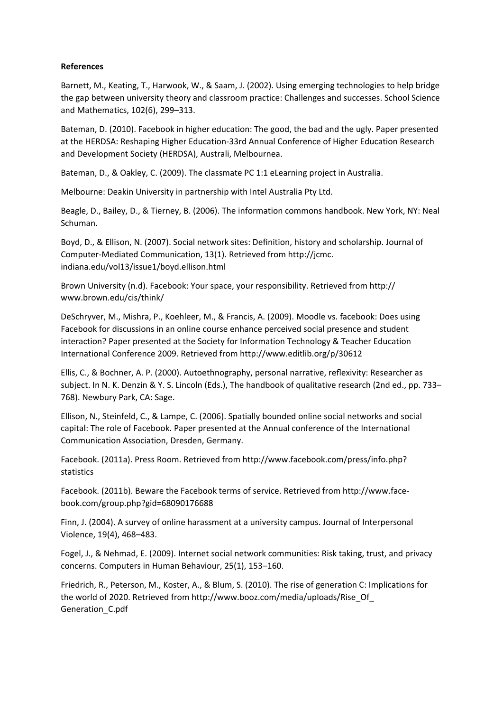## **References**

Barnett, M., Keating, T., Harwook, W., & Saam, J. (2002). Using emerging technologies to help bridge the gap between university theory and classroom practice: Challenges and successes. School Science and Mathematics, 102(6), 299–313.

Bateman, D. (2010). Facebook in higher education: The good, the bad and the ugly. Paper presented at the HERDSA: Reshaping Higher Education‐33rd Annual Conference of Higher Education Research and Development Society (HERDSA), Australi, Melbournea.

Bateman, D., & Oakley, C. (2009). The classmate PC 1:1 eLearning project in Australia.

Melbourne: Deakin University in partnership with Intel Australia Pty Ltd.

Beagle, D., Bailey, D., & Tierney, B. (2006). The information commons handbook. New York, NY: Neal Schuman.

Boyd, D., & Ellison, N. (2007). Social network sites: Definition, history and scholarship. Journal of Computer‐Mediated Communication, 13(1). Retrieved from http://jcmc. indiana.edu/vol13/issue1/boyd.ellison.html

Brown University (n.d). Facebook: Your space, your responsibility. Retrieved from http:// www.brown.edu/cis/think/

DeSchryver, M., Mishra, P., Koehleer, M., & Francis, A. (2009). Moodle vs. facebook: Does using Facebook for discussions in an online course enhance perceived social presence and student interaction? Paper presented at the Society for Information Technology & Teacher Education International Conference 2009. Retrieved from http://www.editlib.org/p/30612

Ellis, C., & Bochner, A. P. (2000). Autoethnography, personal narrative, reflexivity: Researcher as subject. In N. K. Denzin & Y. S. Lincoln (Eds.), The handbook of qualitative research (2nd ed., pp. 733– 768). Newbury Park, CA: Sage.

Ellison, N., Steinfeld, C., & Lampe, C. (2006). Spatially bounded online social networks and social capital: The role of Facebook. Paper presented at the Annual conference of the International Communication Association, Dresden, Germany.

Facebook. (2011a). Press Room. Retrieved from http://www.facebook.com/press/info.php? statistics

Facebook. (2011b). Beware the Facebook terms of service. Retrieved from http://www.face‐ book.com/group.php?gid=68090176688

Finn, J. (2004). A survey of online harassment at a university campus. Journal of Interpersonal Violence, 19(4), 468–483.

Fogel, J., & Nehmad, E. (2009). Internet social network communities: Risk taking, trust, and privacy concerns. Computers in Human Behaviour, 25(1), 153–160.

Friedrich, R., Peterson, M., Koster, A., & Blum, S. (2010). The rise of generation C: Implications for the world of 2020. Retrieved from http://www.booz.com/media/uploads/Rise\_Of\_ Generation\_C.pdf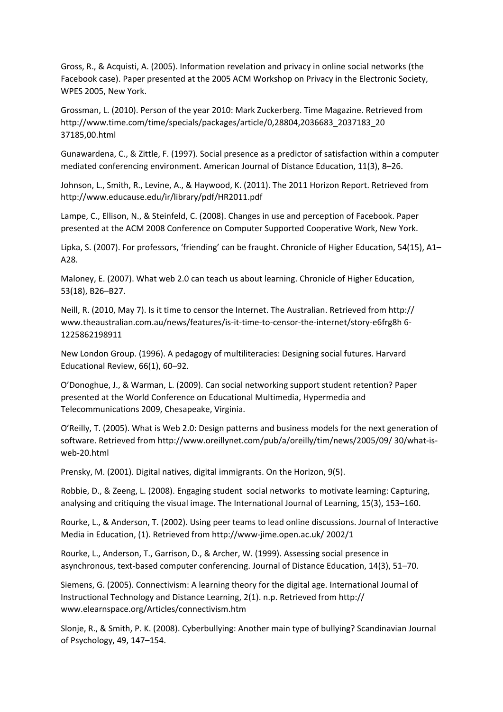Gross, R., & Acquisti, A. (2005). Information revelation and privacy in online social networks (the Facebook case). Paper presented at the 2005 ACM Workshop on Privacy in the Electronic Society, WPES 2005, New York.

Grossman, L. (2010). Person of the year 2010: Mark Zuckerberg. Time Magazine. Retrieved from http://www.time.com/time/specials/packages/article/0,28804,2036683\_2037183\_20 37185,00.html

Gunawardena, C., & Zittle, F. (1997). Social presence as a predictor of satisfaction within a computer mediated conferencing environment. American Journal of Distance Education, 11(3), 8–26.

Johnson, L., Smith, R., Levine, A., & Haywood, K. (2011). The 2011 Horizon Report. Retrieved from http://www.educause.edu/ir/library/pdf/HR2011.pdf

Lampe, C., Ellison, N., & Steinfeld, C. (2008). Changes in use and perception of Facebook. Paper presented at the ACM 2008 Conference on Computer Supported Cooperative Work, New York.

Lipka, S. (2007). For professors, 'friending' can be fraught. Chronicle of Higher Education, 54(15), A1– A28.

Maloney, E. (2007). What web 2.0 can teach us about learning. Chronicle of Higher Education, 53(18), B26–B27.

Neill, R. (2010, May 7). Is it time to censor the Internet. The Australian. Retrieved from http:// www.theaustralian.com.au/news/features/is‐it‐time‐to‐censor‐the‐internet/story‐e6frg8h 6‐ 1225862198911

New London Group. (1996). A pedagogy of multiliteracies: Designing social futures. Harvard Educational Review, 66(1), 60–92.

O'Donoghue, J., & Warman, L. (2009). Can social networking support student retention? Paper presented at the World Conference on Educational Multimedia, Hypermedia and Telecommunications 2009, Chesapeake, Virginia.

O'Reilly, T. (2005). What is Web 2.0: Design patterns and business models for the next generation of software. Retrieved from http://www.oreillynet.com/pub/a/oreilly/tim/news/2005/09/ 30/what‐is‐ web‐20.html

Prensky, M. (2001). Digital natives, digital immigrants. On the Horizon, 9(5).

Robbie, D., & Zeeng, L. (2008). Engaging student social networks to motivate learning: Capturing, analysing and critiquing the visual image. The International Journal of Learning, 15(3), 153–160.

Rourke, L., & Anderson, T. (2002). Using peer teams to lead online discussions. Journal of Interactive Media in Education, (1). Retrieved from http://www‐jime.open.ac.uk/ 2002/1

Rourke, L., Anderson, T., Garrison, D., & Archer, W. (1999). Assessing social presence in asynchronous, text‐based computer conferencing. Journal of Distance Education, 14(3), 51–70.

Siemens, G. (2005). Connectivism: A learning theory for the digital age. International Journal of Instructional Technology and Distance Learning, 2(1). n.p. Retrieved from http:// www.elearnspace.org/Articles/connectivism.htm

Slonje, R., & Smith, P. K. (2008). Cyberbullying: Another main type of bullying? Scandinavian Journal of Psychology, 49, 147–154.